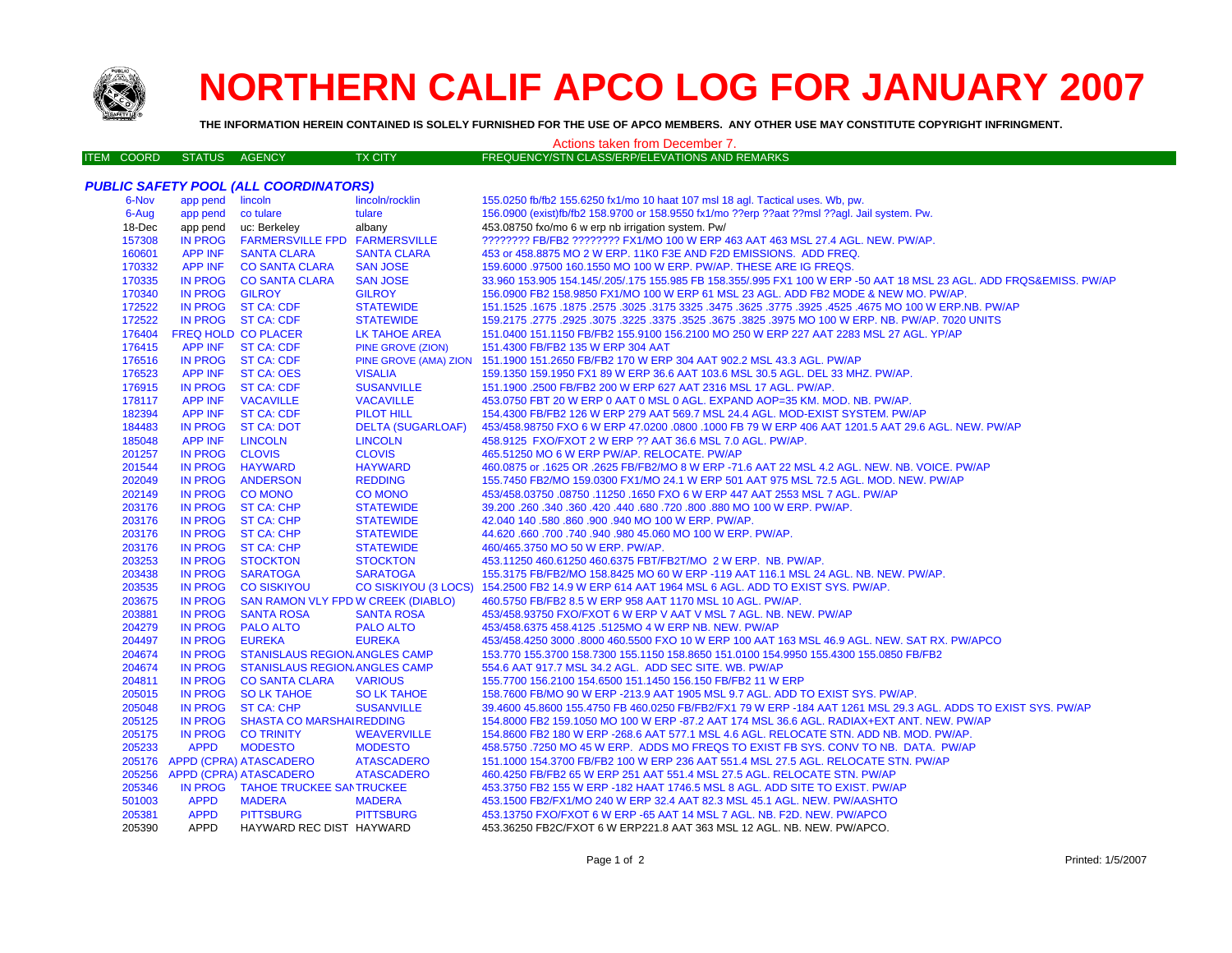

## **NORTHERN CALIF APCO LOG FOR JANUARY 2007**

**THE INFORMATION HEREIN CONTAINED IS SOLELY FURNISHED FOR THE USE OF APCO MEMBERS. ANY OTHER USE MAY CONSTITUTE COPYRIGHT INFRINGMENT.**

## Actions taken from December 7.

| ITEM COORD | STATUS AGENCY | <b>TX CITY</b> | FREQUENCY/STN CLASS/ERP/ELEVATIONS AND REMARKS |
|------------|---------------|----------------|------------------------------------------------|
|------------|---------------|----------------|------------------------------------------------|

|        | <b>PUBLIC SAFETY POOL (ALL COORDINATORS)</b> |                                           |                          |                                                                                                                     |  |
|--------|----------------------------------------------|-------------------------------------------|--------------------------|---------------------------------------------------------------------------------------------------------------------|--|
| 6-Nov  | app pend lincoln                             |                                           | lincoln/rocklin          | 155.0250 fb/fb2 155.6250 fx1/mo 10 haat 107 msl 18 agl. Tactical uses. Wb, pw.                                      |  |
| 6-Aug  | app pend co tulare                           |                                           | tulare                   | 156.0900 (exist)fb/fb2 158.9700 or 158.9550 fx1/mo ??erp ??aat ??msl ??agl. Jail system. Pw.                        |  |
| 18-Dec | app pend                                     | uc: Berkeley                              | albany                   | 453.08750 fxo/mo 6 w erp nb irrigation system. Pw/                                                                  |  |
| 157308 | <b>IN PROG</b>                               | FARMERSVILLE FPD FARMERSVILLE             |                          | ???????? FB/FB2 ???????? FX1/MO 100 W ERP 463 AAT 463 MSL 27.4 AGL. NEW. PW/AP.                                     |  |
| 160601 | <b>APP INF</b>                               | <b>SANTA CLARA</b>                        | <b>SANTA CLARA</b>       | 453 or 458.8875 MO 2 W ERP. 11K0 F3E AND F2D EMISSIONS. ADD FREQ.                                                   |  |
| 170332 |                                              | APP INF CO SANTA CLARA                    | <b>SAN JOSE</b>          | 159,6000 .97500 160.1550 MO 100 W ERP. PW/AP. THESE ARE IG FREQS.                                                   |  |
| 170335 |                                              | IN PROG CO SANTA CLARA                    | <b>SAN JOSE</b>          | 33.960 153.905 154.145/.205/.175 155.985 FB 158.355/.995 FX1 100 W ERP -50 AAT 18 MSL 23 AGL. ADD FRQS&EMISS. PW/AP |  |
| 170340 | IN PROG GILROY                               |                                           | <b>GILROY</b>            | 156.0900 FB2 158.9850 FX1/MO 100 W ERP 61 MSL 23 AGL. ADD FB2 MODE & NEW MO. PW/AP.                                 |  |
| 172522 |                                              | IN PROG ST CA: CDF                        | <b>STATEWIDE</b>         | 151.1525 .1675 NO 100 W ERP.NB. PW/AP .525. 3775 .3625 .3475 .3625 .3775 .3625 .3175 .1675 .1675 .1675 .1675 .      |  |
| 172522 |                                              | IN PROG ST CA: CDF                        | <b>STATEWIDE</b>         | 159.2175 .2775 .2925 .3075 .3275 .3975 MO 100 W ERP. NB. PW/AP. 7020 UNITS                                          |  |
| 176404 | <b>FREQ HOLD CO PLACER</b>                   |                                           | LK TAHOE AREA            | 151.0400 151.1150 FB/FB2 155.9100 156.2100 MO 250 W ERP 227 AAT 2283 MSL 27 AGL. YP/AP                              |  |
| 176415 | <b>APP INF</b>                               | <b>ST CA: CDF</b>                         | PINE GROVE (ZION)        | 151.4300 FB/FB2 135 W ERP 304 AAT                                                                                   |  |
| 176516 |                                              | IN PROG ST CA: CDF                        |                          | PINE GROVE (AMA) ZION 151.1900 151.2650 FB/FB2 170 W ERP 304 AAT 902.2 MSL 43.3 AGL. PW/AP                          |  |
| 176523 | <b>APP INF</b>                               | ST CA: OES                                | <b>VISALIA</b>           | 159.1350 159.1950 FX1 89 W ERP 36.6 AAT 103.6 MSL 30.5 AGL. DEL 33 MHZ. PW/AP.                                      |  |
| 176915 |                                              | IN PROG ST CA: CDF                        | <b>SUSANVILLE</b>        | 151.1900 .2500 FB/FB2 200 W ERP 627 AAT 2316 MSL 17 AGL. PW/AP.                                                     |  |
| 178117 | <b>APP INF</b>                               | <b>VACAVILLE</b>                          | <b>VACAVILLE</b>         | 453.0750 FBT 20 W ERP 0 AAT 0 MSL 0 AGL. EXPAND AOP=35 KM. MOD. NB. PW/AP.                                          |  |
| 182394 | APP INF                                      | ST CA: CDF                                | PILOT HILL               | 154.4300 FB/FB2 126 W ERP 279 AAT 569.7 MSL 24.4 AGL. MOD-EXIST SYSTEM. PW/AP                                       |  |
| 184483 |                                              | IN PROG ST CA: DOT                        | <b>DELTA (SUGARLOAF)</b> | 453/458.98750 FXO 6 W ERP 47.0200 .0800 .1000 FB 79 W ERP 406 AAT 1201.5 AAT 29.6 AGL. NEW. PW/AP                   |  |
| 185048 | APP INF                                      | <b>LINCOLN</b>                            | <b>LINCOLN</b>           | 458.9125 FXO/FXOT 2 W ERP ?? AAT 36.6 MSL 7.0 AGL. PW/AP.                                                           |  |
| 201257 | IN PROG CLOVIS                               |                                           | <b>CLOVIS</b>            | 465.51250 MO 6 W ERP PW/AP. RELOCATE. PW/AP                                                                         |  |
| 201544 | IN PROG HAYWARD                              |                                           | <b>HAYWARD</b>           | 460.0875 or .1625 OR .2625 FB/FB2/MO 8 W ERP -71.6 AAT 22 MSL 4.2 AGL. NEW. NB. VOICE. PW/AP                        |  |
| 202049 | <b>IN PROG</b>                               | <b>ANDERSON</b>                           | <b>REDDING</b>           | 155.7450 FB2/MO 159.0300 FX1/MO 24.1 W ERP 501 AAT 975 MSL 72.5 AGL. MOD. NEW. PW/AP                                |  |
| 202149 | IN PROG CO MONO                              |                                           | <b>CO MONO</b>           | 453/458.03750 .08750 .11250 .1650 FXO 6 W ERP 447 AAT 2553 MSL 7 AGL. PW/AP                                         |  |
| 203176 |                                              | IN PROG ST CA: CHP                        | <b>STATEWIDE</b>         | 39.200 .260 .340 .360 .420 .440 .680 .720 .800 .880 MO 100 W ERP. PW/AP.                                            |  |
| 203176 |                                              | IN PROG ST CA: CHP                        | <b>STATEWIDE</b>         | 42.040 140 .580 .860 .900 .940 MO 100 W ERP. PW/AP.                                                                 |  |
| 203176 |                                              | IN PROG ST CA: CHP                        | <b>STATEWIDE</b>         | 44.620 .660 .700 .740 .940 .980 45.060 MO 100 W ERP. PW/AP.                                                         |  |
| 203176 |                                              | IN PROG ST CA: CHP                        | <b>STATEWIDE</b>         | 460/465.3750 MO 50 W ERP. PW/AP.                                                                                    |  |
| 203253 |                                              | IN PROG STOCKTON                          | <b>STOCKTON</b>          | 453.11250 460.61250 460.6375 FBT/FB2T/MO 2 W ERP. NB. PW/AP.                                                        |  |
| 203438 | <b>IN PROG</b>                               | <b>SARATOGA</b>                           | <b>SARATOGA</b>          | 155.3175 FB/FB2/MO 158.8425 MO 60 W ERP -119 AAT 116.1 MSL 24 AGL. NB. NEW. PW/AP.                                  |  |
| 203535 | <b>IN PROG</b>                               | <b>CO SISKIYOU</b>                        |                          | CO SISKIYOU (3 LOCS) 154.2500 FB2 14.9 W ERP 614 AAT 1964 MSL 6 AGL. ADD TO EXIST SYS. PW/AP.                       |  |
| 203675 | <b>IN PROG</b>                               | <b>SAN RAMON VLY FPD W CREEK (DIABLO)</b> |                          | 460.5750 FB/FB2 8.5 W ERP 958 AAT 1170 MSL 10 AGL. PW/AP.                                                           |  |
| 203881 | <b>IN PROG</b>                               | <b>SANTA ROSA</b>                         | <b>SANTA ROSA</b>        | 453/458.93750 FXO/FXOT 6 W ERP V AAT V MSL 7 AGL. NB. NEW. PW/AP                                                    |  |
| 204279 | <b>IN PROG</b>                               | <b>PALO ALTO</b>                          | <b>PALO ALTO</b>         | 453/458.6375 458.4125 .5125MO 4 W ERP NB. NEW. PW/AP                                                                |  |
| 204497 | <b>IN PROG</b>                               | <b>EUREKA</b>                             | <b>EUREKA</b>            | 453/458.4250 3000 .8000 460.5500 FXO 10 W ERP 100 AAT 163 MSL 46.9 AGL. NEW. SAT RX. PW/APCO                        |  |
| 204674 | IN PROG                                      | <b>STANISLAUS REGION ANGLES CAMP</b>      |                          | 153.770 155.3700 158.7300 155.1150 158.8650 151.0100 154.9950 155.4300 155.0850 FB/FB2                              |  |
| 204674 | <b>IN PROG</b>                               | STANISLAUS REGION ANGLES CAMP             |                          | 554.6 AAT 917.7 MSL 34.2 AGL. ADD SEC SITE. WB. PW/AP                                                               |  |
| 204811 |                                              | IN PROG CO SANTA CLARA                    | <b>VARIOUS</b>           | 155.7700 156.2100 154.6500 151.1450 156.150 FB/FB2 11 W ERP                                                         |  |
| 205015 |                                              | IN PROG SO LK TAHOE                       | <b>SO LK TAHOE</b>       | 158,7600 FB/MO 90 W ERP -213.9 AAT 1905 MSL 9.7 AGL, ADD TO EXIST SYS, PW/AP.                                       |  |
| 205048 | <b>IN PROG</b>                               | ST CA: CHP                                | <b>SUSANVILLE</b>        | 39.4600 45.8600 155.4750 FB 460.0250 FB/FB2/FX1 79 W ERP -184 AAT 1261 MSL 29.3 AGL. ADDS TO EXIST SYS. PW/AP       |  |
| 205125 | IN PROG                                      | <b>SHASTA CO MARSHAIREDDING</b>           |                          | 154.8000 FB2 159.1050 MO 100 W ERP -87.2 AAT 174 MSL 36.6 AGL. RADIAX+EXT ANT. NEW. PW/AP                           |  |
| 205175 | IN PROG                                      | <b>CO TRINITY</b>                         | <b>WEAVERVILLE</b>       | 154.8600 FB2 180 W ERP -268.6 AAT 577.1 MSL 4.6 AGL. RELOCATE STN. ADD NB. MOD. PW/AP.                              |  |
| 205233 | <b>APPD</b>                                  | <b>MODESTO</b>                            | <b>MODESTO</b>           | 458.5750 .7250 MO 45 W ERP. ADDS MO FREQS TO EXIST FB SYS. CONV TO NB. DATA. PW/AP                                  |  |
|        |                                              | 205176 APPD (CPRA) ATASCADERO             | <b>ATASCADERO</b>        | 151.1000 154.3700 FB/FB2 100 W ERP 236 AAT 551.4 MSL 27.5 AGL. RELOCATE STN. PW/AP                                  |  |
| 205256 |                                              | APPD (CPRA) ATASCADERO                    | <b>ATASCADERO</b>        | 460.4250 FB/FB2 65 W ERP 251 AAT 551.4 MSL 27.5 AGL. RELOCATE STN. PW/AP                                            |  |
| 205346 |                                              | IN PROG TAHOE TRUCKEE SANTRUCKEE          |                          | 453.3750 FB2 155 W ERP -182 HAAT 1746.5 MSL 8 AGL. ADD SITE TO EXIST. PW/AP                                         |  |
| 501003 | <b>APPD</b>                                  | <b>MADERA</b>                             | <b>MADERA</b>            | 453.1500 FB2/FX1/MO 240 W ERP 32.4 AAT 82.3 MSL 45.1 AGL. NEW. PW/AASHTO                                            |  |
| 205381 | <b>APPD</b>                                  | <b>PITTSBURG</b>                          | <b>PITTSBURG</b>         | 453.13750 FXO/FXOT 6 W ERP -65 AAT 14 MSL 7 AGL. NB. F2D. NEW. PW/APCO                                              |  |
| 205390 | APPD                                         | HAYWARD REC DIST HAYWARD                  |                          | 453.36250 FB2C/FXOT 6 W ERP221.8 AAT 363 MSL 12 AGL. NB. NEW. PW/APCO.                                              |  |